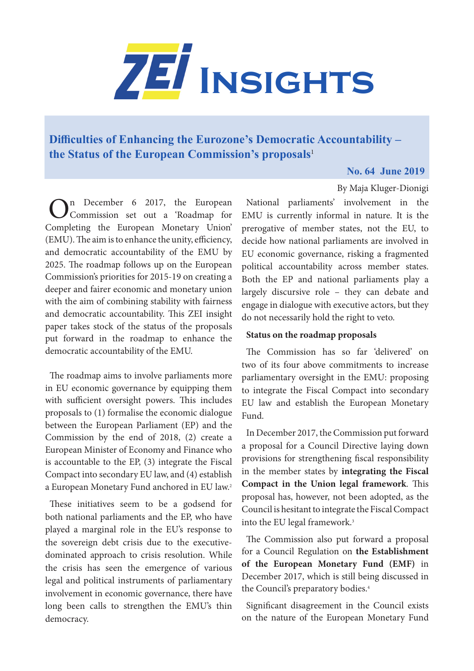

## **[Difficulties of Enhancing the Eurozone's Democratic Accountability –](https://www.zei.uni-bonn.de/publications/zei-insights)  the Status of the European Commission's proposals**<sup>1</sup>

## **No. 64 June 2019**

By Maja Kluger-Dionigi

On December 6 2017, the European Commission set out a 'Roadmap for [Completing the European Monetary Union'](https://ec.europa.eu/commission/publications/completing-europes-economic-and-monetary-union-factsheets_en)  [\(EMU\)](https://ec.europa.eu/commission/publications/completing-europes-economic-and-monetary-union-factsheets_en). The aim is to enhance the unity, efficiency, and democratic accountability of the EMU by 2025. The roadmap follows up on the European Commission's priorities for 2015-19 on creating a deeper and fairer economic and monetary union with the aim of combining stability with fairness and democratic accountability. This ZEI insight paper takes stock of the status of the proposals put forward in the roadmap to enhance the democratic accountability of the EMU.

The roadmap aims to involve parliaments more in EU economic governance by equipping them with sufficient oversight powers. This includes proposals to (1) formalise the economic dialogue between the European Parliament (EP) and the Commission by the end of 2018, (2) create a European Minister of Economy and Finance who is accountable to the EP, (3) integrate the Fiscal Compact into secondary EU law, and (4) establish a European Monetary Fund anchored in EU law.2

These initiatives seem to be a godsend for both national parliaments and the EP, who have played a marginal role in the EU's response to the sovereign debt crisis due to the executivedominated approach to crisis resolution. While the crisis has seen the emergence of various legal and political instruments of parliamentary involvement in economic governance, there have long been calls to strengthen the EMU's thin democracy.

National parliaments' involvement in the EMU is currently informal in nature. It is the prerogative of member states, not the EU, to decide how national parliaments are involved in EU economic governance, risking a fragmented political accountability across member states. Both the EP and national parliaments play a largely discursive role – they can debate and engage in dialogue with executive actors, but they do not necessarily hold the right to veto.

## **Status on the roadmap proposals**

The Commission has so far 'delivered' on two of its four above commitments to increase parliamentary oversight in the EMU: proposing to integrate the Fiscal Compact into secondary EU law and establish the European Monetary Fund.

In December 2017, the Commission put forward a proposal for a Council Directive laying down provisions for strengthening fiscal responsibility in the member states by **integrating the Fiscal Compact in the Union legal framework**. This proposal has, however, not been adopted, as the Council is hesitant to integrate the Fiscal Compact into the EU legal framework.<sup>3</sup>

The Commission also put forward a proposal for a Council Regulation on **the Establishment of the European Monetary Fund (EMF)** in December 2017, which is still being discussed in the Council's preparatory bodies.4

Significant disagreement in the Council exists on the nature of the European Monetary Fund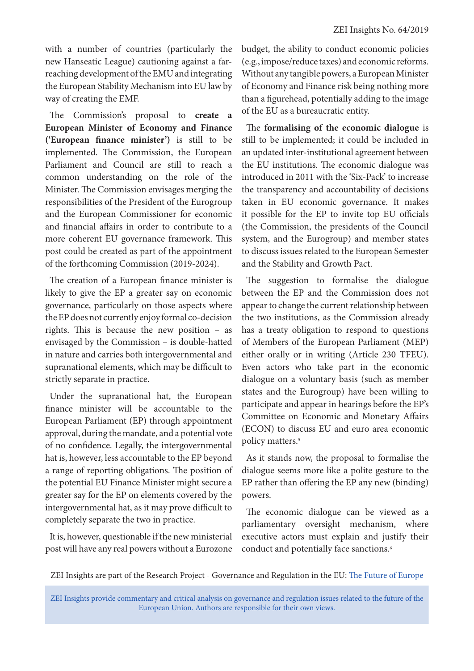with a number of countries (particularly the new Hanseatic League) cautioning against a farreaching development of the EMU and integrating the European Stability Mechanism into EU law by way of creating the EMF.

The Commission's proposal to **create a European Minister of Economy and Finance ('European finance minister')** is still to be implemented. The Commission, the European Parliament and Council are still to reach a common understanding on the role of the Minister. The Commission envisages merging the responsibilities of the President of the Eurogroup and the European Commissioner for economic and financial affairs in order to contribute to a more coherent EU governance framework. This post could be created as part of the appointment of the forthcoming Commission (2019-2024).

The creation of a European finance minister is likely to give the EP a greater say on economic governance, particularly on those aspects where the EP does not currently enjoy formal co-decision rights. This is because the new position – as envisaged by the Commission – is double-hatted in nature and carries both intergovernmental and supranational elements, which may be difficult to strictly separate in practice.

Under the supranational hat, the European finance minister will be accountable to the European Parliament (EP) through appointment approval, during the mandate, and a potential vote of no confidence. Legally, the intergovernmental hat is, however, less accountable to the EP beyond a range of reporting obligations. The position of the potential EU Finance Minister might secure a greater say for the EP on elements covered by the intergovernmental hat, as it may prove difficult to completely separate the two in practice.

It is, however, questionable if the new ministerial post will have any real powers without a Eurozone budget, the ability to conduct economic policies (e.g., impose/reduce taxes) and economic reforms. Without any tangible powers, a European Minister of Economy and Finance risk being nothing more than a figurehead, potentially adding to the image of the EU as a bureaucratic entity.

The **formalising of the economic dialogue** is still to be implemented; it could be included in an updated inter-institutional agreement between the EU institutions. The economic dialogue was introduced in 2011 with the 'Six-Pack' to increase the transparency and accountability of decisions taken in EU economic governance. It makes it possible for the EP to invite top EU officials (the Commission, the presidents of the Council system, and the Eurogroup) and member states to discuss issues related to the European Semester and the Stability and Growth Pact.

The suggestion to formalise the dialogue between the EP and the Commission does not appear to change the current relationship between the two institutions, as the Commission already has a treaty obligation to respond to questions of Members of the European Parliament (MEP) either orally or in writing (Article 230 TFEU). Even actors who take part in the economic dialogue on a voluntary basis (such as member states and the Eurogroup) have been willing to participate and appear in hearings before the EP's Committee on Economic and Monetary Affairs (ECON) to discuss EU and euro area economic policy matters.<sup>5</sup>

As it stands now, the proposal to formalise the dialogue seems more like a polite gesture to the EP rather than offering the EP any new (binding) powers.

The economic dialogue can be viewed as a parliamentary oversight mechanism, where executive actors must explain and justify their conduct and potentially face sanctions.<sup>6</sup>

ZEI Insights are part of the Research Project - Governance and Regulation in the EU: [The Future of Europe](https://www.zei.uni-bonn.de/research/governance-and-regulation?set_language=en)

ZEI Insights provide commentary and critical analysis on governance and regulation issues related to the future of the European Union. Authors are responsible for their own views.